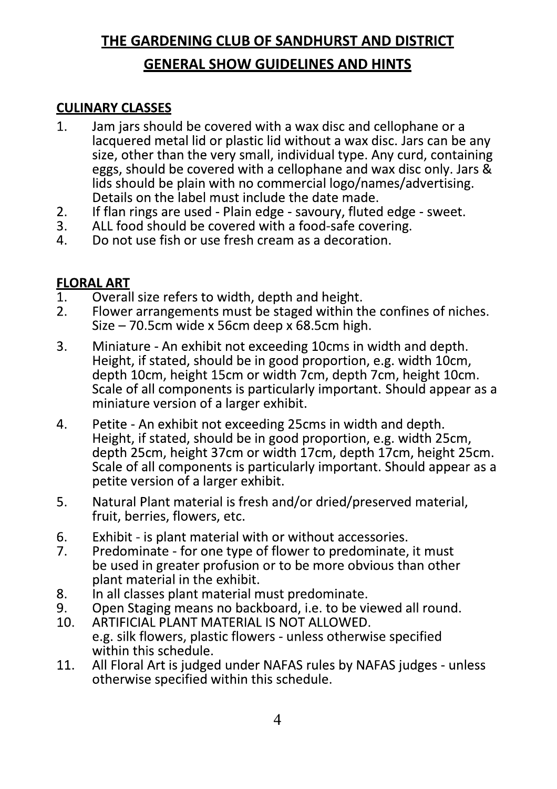## THE GARDENING CLUB OF SANDHURST AND DISTRICT

### **GENERAL SHOW GUIDELINES AND HINTS**

#### **CULINARY CLASSES**

- $1<sub>1</sub>$ Jam jars should be covered with a wax disc and cellophane or a lacquered metal lid or plastic lid without a wax disc. Jars can be any size, other than the very small, individual type. Any curd, containing eggs, should be covered with a cellophane and wax disc only. Jars & lids should be plain with no commercial logo/names/advertising. Details on the label must include the date made.
- $2.$ If flan rings are used - Plain edge - savoury, fluted edge - sweet.
- 3. ALL food should be covered with a food-safe covering.
- 4. Do not use fish or use fresh cream as a decoration.

#### **FLORAL ART**

- $1<sub>1</sub>$ Overall size refers to width, depth and height.
- Flower arrangements must be staged within the confines of niches.  $2.$ Size - 70.5cm wide x 56cm deep  $\bar{x}$  68.5cm high.
- Miniature An exhibit not exceeding 10cms in width and depth.  $3.$ Height, if stated, should be in good proportion, e.g. width 10cm, depth 10cm, height 15cm or width 7cm, depth 7cm, height 10cm. Scale of all components is particularly important. Should appear as a miniature version of a larger exhibit.
- 4. Petite - An exhibit not exceeding 25cms in width and depth. Height, if stated, should be in good proportion, e.g. width 25cm, depth 25cm, height 37cm or width 17cm, depth 17cm, height 25cm. Scale of all components is particularly important. Should appear as a petite version of a larger exhibit.
- Natural Plant material is fresh and/or dried/preserved material, 5. fruit, berries, flowers, etc.
- 6. Exhibit - is plant material with or without accessories.
- $7<sub>1</sub>$ Predominate - for one type of flower to predominate, it must be used in greater profusion or to be more obvious than other plant material in the exhibit.
- 8. In all classes plant material must predominate.
- Open Staging means no backboard, i.e. to be viewed all round. 9.
- 10. ARTIFICIAL PLANT MATERIAL IS NOT ALLOWED. e.g. silk flowers, plastic flowers - unless otherwise specified within this schedule.
- 11. All Floral Art is judged under NAFAS rules by NAFAS judges - unless otherwise specified within this schedule.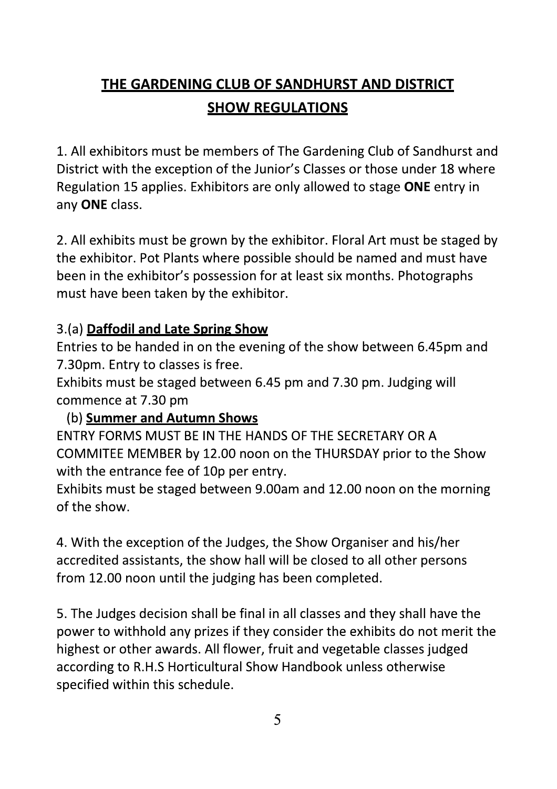# **THE GARDENING CLUB OF SANDHURST AND DISTRICT SHOW REGULATIONS**

1. All exhibitors must be members of The Gardening Club of Sandhurst and District with the exception of the Junior's Classes or those under 18 where Regulation 15 applies. Exhibitors are only allowed to stage ONE entry in any ONE class.

2. All exhibits must be grown by the exhibitor. Floral Art must be staged by the exhibitor. Pot Plants where possible should be named and must have been in the exhibitor's possession for at least six months. Photographs must have been taken by the exhibitor.

### 3.(a) Daffodil and Late Spring Show

Entries to be handed in on the evening of the show between 6.45pm and 7.30pm. Entry to classes is free.

Exhibits must be staged between 6.45 pm and 7.30 pm. Judging will commence at 7.30 pm

(b) Summer and Autumn Shows

ENTRY FORMS MUST BE IN THE HANDS OF THE SECRETARY OR A COMMITEE MEMBER by 12.00 noon on the THURSDAY prior to the Show with the entrance fee of 10p per entry.

Exhibits must be staged between 9.00am and 12.00 noon on the morning of the show.

4. With the exception of the Judges, the Show Organiser and his/her accredited assistants, the show hall will be closed to all other persons from 12.00 noon until the judging has been completed.

5. The Judges decision shall be final in all classes and they shall have the power to withhold any prizes if they consider the exhibits do not merit the highest or other awards. All flower, fruit and vegetable classes judged according to R.H.S Horticultural Show Handbook unless otherwise specified within this schedule.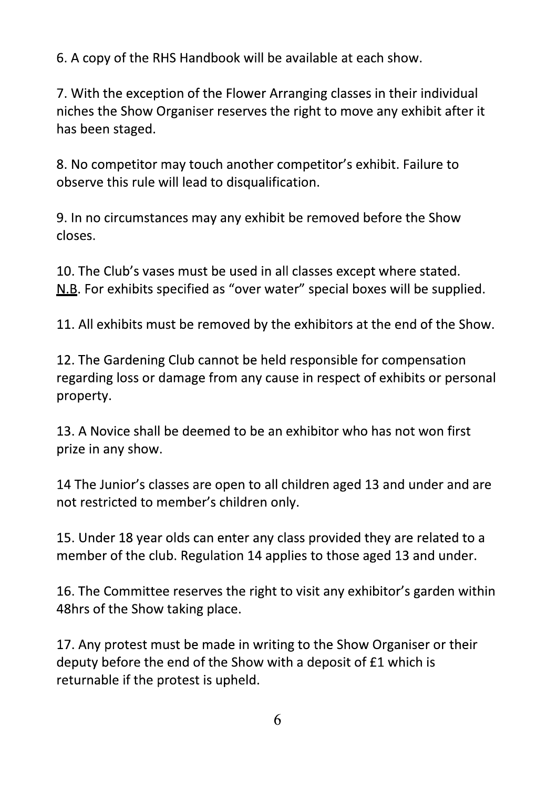6. A copy of the RHS Handbook will be available at each show.

7. With the exception of the Flower Arranging classes in their individual niches the Show Organiser reserves the right to move any exhibit after it has been staged.

8. No competitor may touch another competitor's exhibit. Failure to observe this rule will lead to disqualification.

9. In no circumstances may any exhibit be removed before the Show closes.

10. The Club's vases must be used in all classes except where stated. N.B. For exhibits specified as "over water" special boxes will be supplied.

11. All exhibits must be removed by the exhibitors at the end of the Show.

12. The Gardening Club cannot be held responsible for compensation regarding loss or damage from any cause in respect of exhibits or personal property.

13. A Novice shall be deemed to be an exhibitor who has not won first prize in any show.

14 The Junior's classes are open to all children aged 13 and under and are not restricted to member's children only.

15. Under 18 year olds can enter any class provided they are related to a member of the club. Regulation 14 applies to those aged 13 and under.

16. The Committee reserves the right to visit any exhibitor's garden within 48hrs of the Show taking place.

17. Any protest must be made in writing to the Show Organiser or their deputy before the end of the Show with a deposit of £1 which is returnable if the protest is upheld.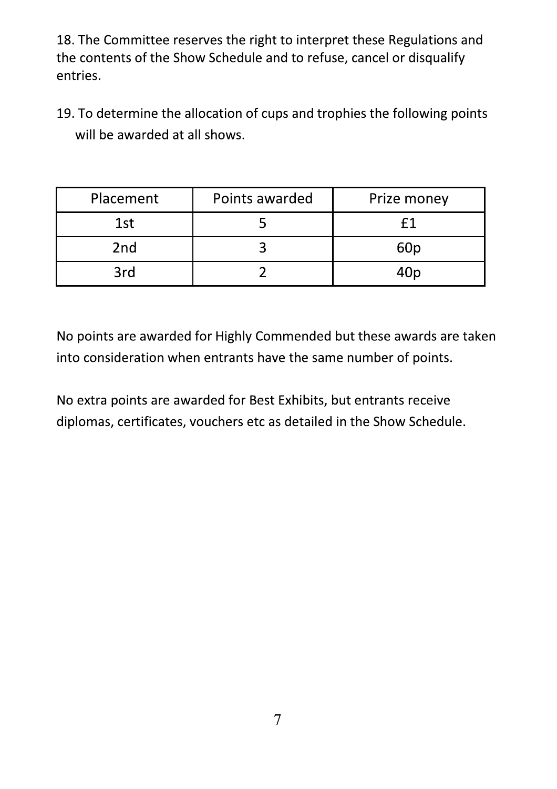18. The Committee reserves the right to interpret these Regulations and the contents of the Show Schedule and to refuse, cancel or disqualify entries.

19. To determine the allocation of cups and trophies the following points will be awarded at all shows.

| Placement       | Points awarded | Prize money     |
|-----------------|----------------|-----------------|
| 1st             |                |                 |
| 2 <sub>nd</sub> |                | 60 <sub>p</sub> |
| 3rd             |                |                 |

No points are awarded for Highly Commended but these awards are taken into consideration when entrants have the same number of points.

No extra points are awarded for Best Exhibits, but entrants receive diplomas, certificates, vouchers etc as detailed in the Show Schedule.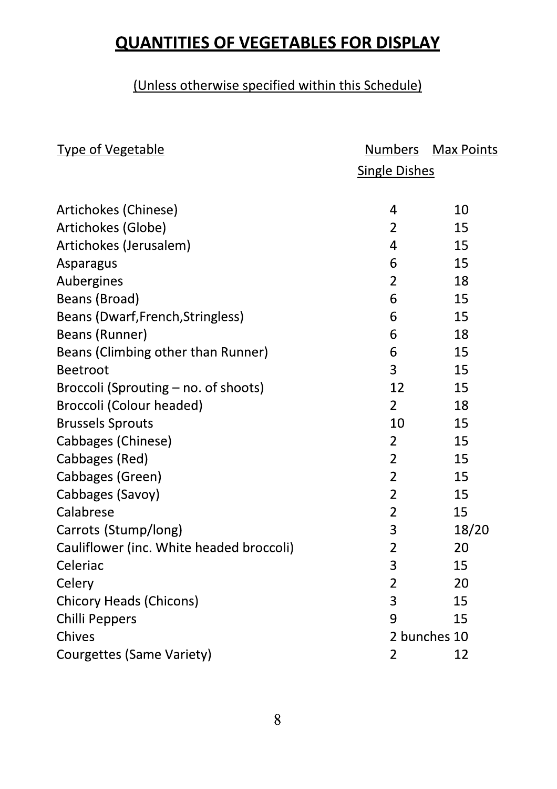# **QUANTITIES OF VEGETABLES FOR DISPLAY**

### (Unless otherwise specified within this Schedule)

| <b>Type of Vegetable</b>                 |                      | <u>Numbers Max Points</u> |
|------------------------------------------|----------------------|---------------------------|
|                                          | <b>Single Dishes</b> |                           |
|                                          |                      |                           |
| Artichokes (Chinese)                     | 4                    | 10                        |
| Artichokes (Globe)                       | $\overline{2}$       | 15                        |
| Artichokes (Jerusalem)                   | 4                    | 15                        |
| Asparagus                                | 6                    | 15                        |
| Aubergines                               | $\overline{2}$       | 18                        |
| Beans (Broad)                            | 6                    | 15                        |
| Beans (Dwarf, French, Stringless)        | 6                    | 15                        |
| Beans (Runner)                           | 6                    | 18                        |
| Beans (Climbing other than Runner)       | 6                    | 15                        |
| <b>Beetroot</b>                          | 3                    | 15                        |
| Broccoli (Sprouting – no. of shoots)     | 12                   | 15                        |
| <b>Broccoli (Colour headed)</b>          | $\overline{2}$       | 18                        |
| <b>Brussels Sprouts</b>                  | 10                   | 15                        |
| Cabbages (Chinese)                       | $\overline{2}$       | 15                        |
| Cabbages (Red)                           | $\overline{2}$       | 15                        |
| Cabbages (Green)                         | $\overline{2}$       | 15                        |
| Cabbages (Savoy)                         | $\overline{2}$       | 15                        |
| Calabrese                                | $\overline{2}$       | 15                        |
| Carrots (Stump/long)                     | 3                    | 18/20                     |
| Cauliflower (inc. White headed broccoli) | $\overline{2}$       | 20                        |
| Celeriac                                 | 3                    | 15                        |
| Celery                                   | 2                    | 20                        |
| <b>Chicory Heads (Chicons)</b>           | 3                    | 15                        |
| Chilli Peppers                           | 9                    | 15                        |
| Chives                                   | 2 bunches 10         |                           |
| Courgettes (Same Variety)                | 2                    | 12                        |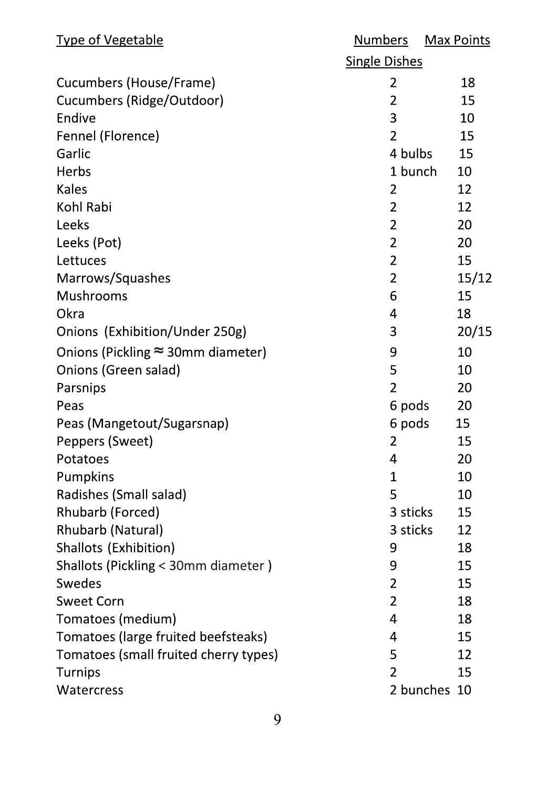| <b>Type of Vegetable</b>                  | <u>Numbers</u>       |              | <b>Max Points</b> |
|-------------------------------------------|----------------------|--------------|-------------------|
|                                           | <b>Single Dishes</b> |              |                   |
| Cucumbers (House/Frame)                   | $\overline{2}$       |              | 18                |
| Cucumbers (Ridge/Outdoor)                 | $\overline{2}$       |              | 15                |
| Endive                                    | 3                    |              | 10                |
| Fennel (Florence)                         | $\overline{2}$       |              | 15                |
| Garlic                                    | 4 bulbs              |              | 15                |
| Herbs                                     |                      | 1 bunch      | 10                |
| <b>Kales</b>                              | $\overline{2}$       |              | 12                |
| Kohl Rabi                                 | $\overline{2}$       |              | 12                |
| Leeks                                     | $\overline{2}$       |              | 20                |
| Leeks (Pot)                               | $\overline{2}$       |              | 20                |
| Lettuces                                  | $\overline{2}$       |              | 15                |
| Marrows/Squashes                          | $\overline{2}$       |              | 15/12             |
| <b>Mushrooms</b>                          | 6                    |              | 15                |
| Okra                                      | 4                    |              | 18                |
| Onions (Exhibition/Under 250g)            | 3                    |              | 20/15             |
| Onions (Pickling $\approx$ 30mm diameter) | 9                    |              | 10                |
| Onions (Green salad)                      | 5                    |              | 10                |
| Parsnips                                  | $\overline{2}$       |              | 20                |
| Peas                                      | 6 pods               |              | 20                |
| Peas (Mangetout/Sugarsnap)                | 6 pods               |              | 15                |
| Peppers (Sweet)                           | 2                    |              | 15                |
| Potatoes                                  | 4                    |              | 20                |
| Pumpkins                                  | 1                    |              | 10                |
| Radishes (Small salad)                    | 5                    |              | 10                |
| Rhubarb (Forced)                          | 3 sticks             |              | 15                |
| Rhubarb (Natural)                         | 3 sticks             |              | 12                |
| Shallots (Exhibition)                     | 9                    |              | 18                |
| Shallots (Pickling < 30mm diameter)       | 9                    |              | 15                |
| <b>Swedes</b>                             | $\overline{2}$       |              | 15                |
| <b>Sweet Corn</b>                         | $\overline{2}$       |              | 18                |
| Tomatoes (medium)                         | 4                    |              | 18                |
| Tomatoes (large fruited beefsteaks)       | 4                    |              | 15                |
| Tomatoes (small fruited cherry types)     | 5                    |              | 12                |
| <b>Turnips</b>                            | $\overline{2}$       |              | 15                |
| <b>Watercress</b>                         |                      | 2 bunches 10 |                   |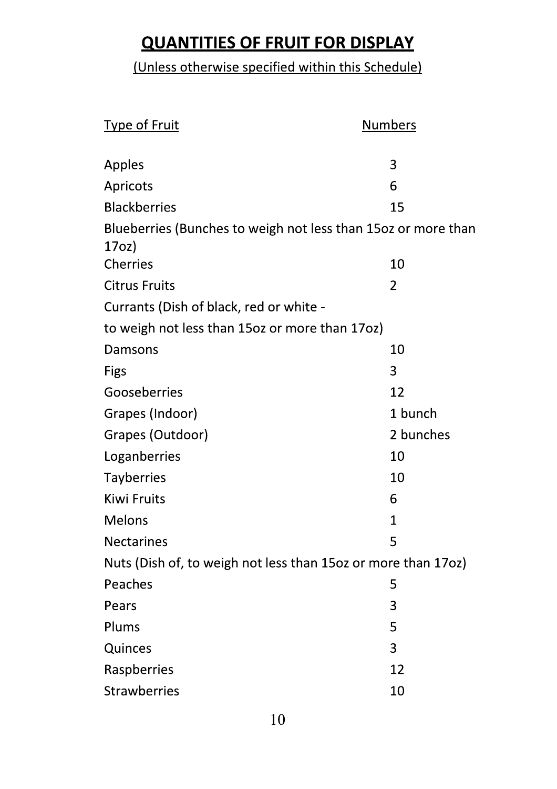# **QUANTITIES OF FRUIT FOR DISPLAY**

### (Unless otherwise specified within this Schedule)

| Type of Fruit                                                 | <b>Numbers</b> |  |
|---------------------------------------------------------------|----------------|--|
|                                                               |                |  |
| Apples                                                        | 3              |  |
| Apricots                                                      | 6              |  |
| <b>Blackberries</b>                                           | 15             |  |
| Blueberries (Bunches to weigh not less than 150z or more than |                |  |
| 17 <sub>O</sub>                                               |                |  |
| <b>Cherries</b>                                               | 10             |  |
| <b>Citrus Fruits</b>                                          | $\overline{2}$ |  |
| Currants (Dish of black, red or white -                       |                |  |
| to weigh not less than 150z or more than 170z)                |                |  |
| Damsons                                                       | 10             |  |
| Figs                                                          | 3              |  |
| Gooseberries                                                  | 12             |  |
| Grapes (Indoor)                                               | 1 bunch        |  |
| Grapes (Outdoor)                                              | 2 bunches      |  |
| Loganberries                                                  | 10             |  |
| <b>Tayberries</b>                                             | 10             |  |
| <b>Kiwi Fruits</b>                                            | 6              |  |
| <b>Melons</b>                                                 | $\mathbf 1$    |  |
| <b>Nectarines</b>                                             | 5              |  |
| Nuts (Dish of, to weigh not less than 150z or more than 170z) |                |  |
| Peaches                                                       | 5              |  |
| Pears                                                         | 3              |  |
| Plums                                                         | 5              |  |
| Quinces                                                       | 3              |  |
| Raspberries                                                   | 12             |  |
| <b>Strawberries</b>                                           | 10             |  |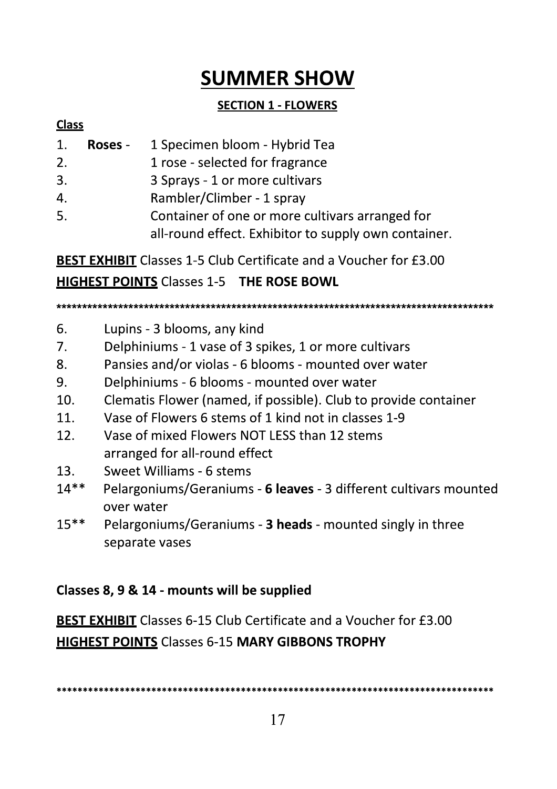# **SUMMER SHOW**

### **SECTION 1 - FLOWERS**

#### **Class**

| 1. | <b>Roses</b> - | 1 Specimen bloom - Hybrid Tea                                                                          |
|----|----------------|--------------------------------------------------------------------------------------------------------|
| 2. |                | 1 rose - selected for fragrance                                                                        |
| 3. |                | 3 Sprays - 1 or more cultivars                                                                         |
| 4. |                | Rambler/Climber - 1 spray                                                                              |
| 5. |                | Container of one or more cultivars arranged for<br>all-round effect. Exhibitor to supply own container |

**BEST EXHIBIT** Classes 1-5 Club Certificate and a Voucher for £3.00 **HIGHEST POINTS Classes 1-5 THE ROSE BOWL** 

- 6. Lupins - 3 blooms, any kind
- $7<sub>1</sub>$ Delphiniums - 1 vase of 3 spikes, 1 or more cultivars
- 8. Pansies and/or violas - 6 blooms - mounted over water
- 9. Delphiniums - 6 blooms - mounted over water
- $10.$ Clematis Flower (named, if possible). Club to provide container
- Vase of Flowers 6 stems of 1 kind not in classes 1-9  $11.$
- Vase of mixed Flowers NOT LESS than 12 stems 12. arranged for all-round effect
- 13. Sweet Williams - 6 stems
- Pelargoniums/Geraniums 6 leaves 3 different cultivars mounted  $14**$ over water
- $15***$ Pelargoniums/Geraniums - 3 heads - mounted singly in three separate vases

### Classes 8, 9 & 14 - mounts will be supplied

**BEST EXHIBIT** Classes 6-15 Club Certificate and a Voucher for £3.00 **HIGHEST POINTS Classes 6-15 MARY GIBBONS TROPHY**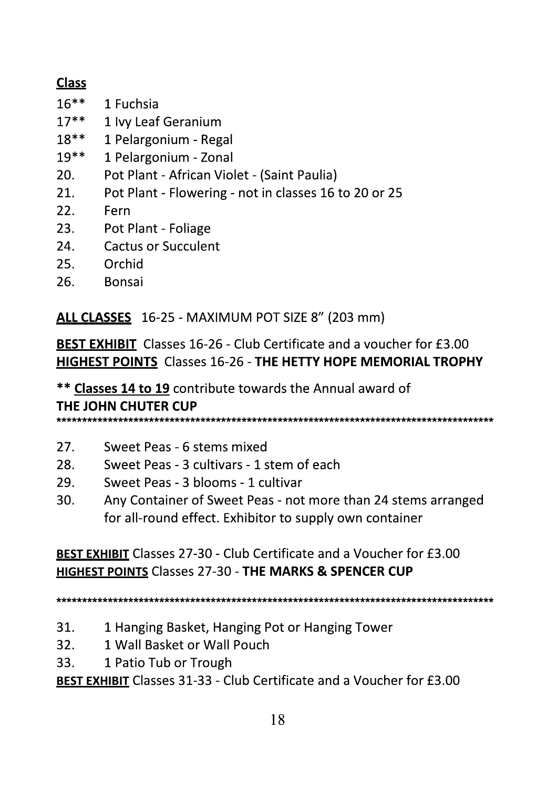### **Class**

- $16***$ 1 Fuchsia
- $17***$ 1 Ivy Leaf Geranium
- 1 Pelargonium Regal  $18**$
- $19**$ 1 Pelargonium - Zonal
- 20. Pot Plant - African Violet - (Saint Paulia)
- $21.$ Pot Plant - Flowering - not in classes 16 to 20 or 25
- $22.$ Fern
- Pot Plant Foliage  $23.$
- $24.$ **Cactus or Succulent**
- Orchid 25.
- 26. **Bonsai**

ALL CLASSES 16-25 - MAXIMUM POT SIZE 8" (203 mm)

**BEST EXHIBIT** Classes 16-26 - Club Certificate and a voucher for £3.00 **HIGHEST POINTS Classes 16-26 - THE HETTY HOPE MEMORIAL TROPHY** 

\*\* Classes 14 to 19 contribute towards the Annual award of THE JOHN CHUTER CUP

- $27<sub>1</sub>$ Sweet Peas - 6 stems mixed
- 28. Sweet Peas - 3 cultivars - 1 stem of each
- 29. Sweet Peas - 3 blooms - 1 cultivar
- $30.$ Any Container of Sweet Peas - not more than 24 stems arranged for all-round effect. Exhibitor to supply own container

**BEST EXHIBIT Classes 27-30 - Club Certificate and a Voucher for £3.00 HIGHEST POINTS Classes 27-30 - THE MARKS & SPENCER CUP** 

- 31. 1 Hanging Basket, Hanging Pot or Hanging Tower
- 1 Wall Basket or Wall Pouch  $32<sub>1</sub>$
- 33. 1 Patio Tub or Trough

**BEST EXHIBIT** Classes 31-33 - Club Certificate and a Voucher for £3.00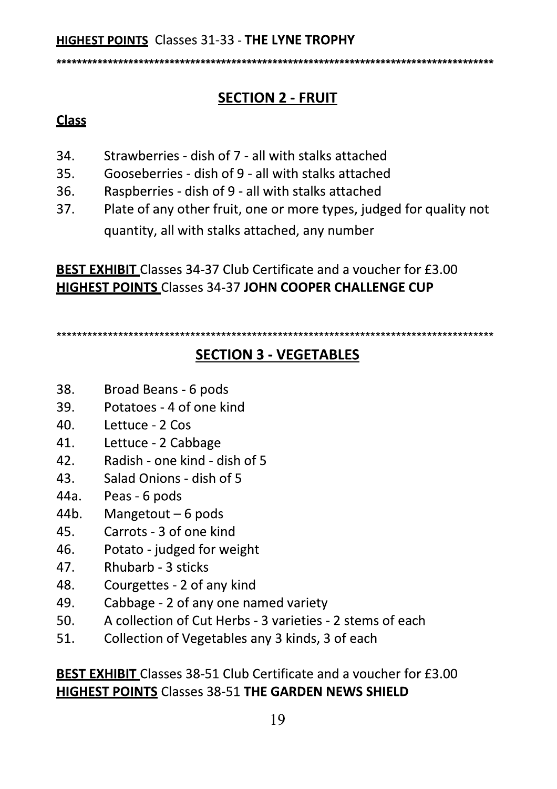<sub></sub><sub></sub><sub></sub><sub></sub>

# **SECTION 2 - FRUIT**

### **Class**

- Strawberries dish of 7 all with stalks attached 34.
- Gooseberries dish of 9 all with stalks attached 35.
- $36.$ Raspberries - dish of 9 - all with stalks attached
- 37. Plate of any other fruit, one or more types, judged for quality not quantity, all with stalks attached, any number

**BEST EXHIBIT** Classes 34-37 Club Certificate and a voucher for £3.00 **HIGHEST POINTS Classes 34-37 JOHN COOPER CHALLENGE CUP** 

### **SECTION 3 - VEGETABLES**

- 38. Broad Beans - 6 pods
- 39 Potatoes - 4 of one kind
- 40. Lettuce - 2 Cos
- 41. Lettuce - 2 Cabbage
- Radish one kind dish of 5  $42<sup>7</sup>$
- Salad Onions dish of 5 43.
- 44a. Peas - 6 pods
- 44b. Mangetout  $-6$  pods
- Carrots 3 of one kind 45
- Potato judged for weight 46.
- 47. Rhubarb - 3 sticks
- 48. Courgettes - 2 of any kind
- 49. Cabbage - 2 of any one named variety
- 50. A collection of Cut Herbs - 3 varieties - 2 stems of each
- 51. Collection of Vegetables any 3 kinds, 3 of each

**BEST EXHIBIT** Classes 38-51 Club Certificate and a voucher for £3.00 **HIGHEST POINTS Classes 38-51 THE GARDEN NEWS SHIELD**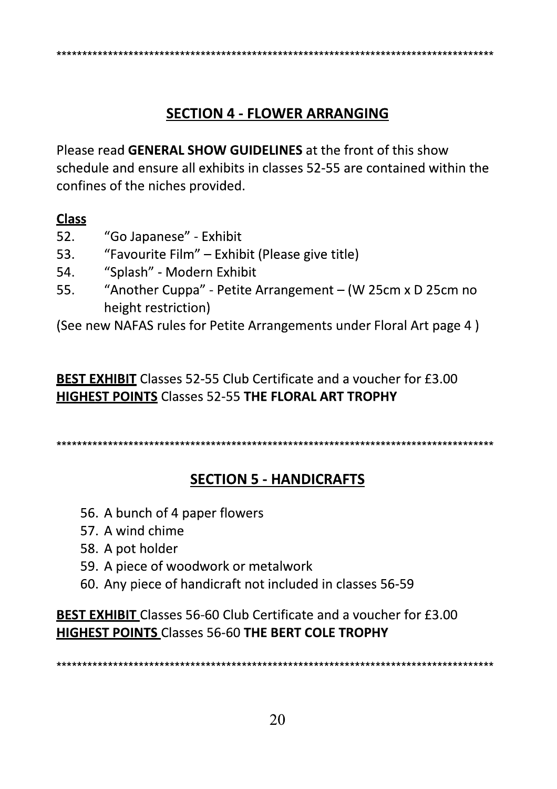### **SECTION 4 - FLOWER ARRANGING**

Please read GENERAL SHOW GUIDELINES at the front of this show schedule and ensure all exhibits in classes 52-55 are contained within the confines of the niches provided.

#### **Class**

- "Go Japanese" Exhibit 52.
- 53. "Favourite Film" - Exhibit (Please give title)
- 54. "Splash" - Modern Exhibit
- 55. "Another Cuppa" - Petite Arrangement - (W 25cm x D 25cm no height restriction)

(See new NAFAS rules for Petite Arrangements under Floral Art page 4)

**BEST EXHIBIT** Classes 52-55 Club Certificate and a voucher for £3.00 **HIGHEST POINTS Classes 52-55 THE FLORAL ART TROPHY** 

### **SECTION 5 - HANDICRAFTS**

- 56. A bunch of 4 paper flowers
- 57. A wind chime
- 58. A pot holder
- 59. A piece of woodwork or metalwork
- 60. Any piece of handicraft not included in classes 56-59

**BEST EXHIBIT** Classes 56-60 Club Certificate and a voucher for £3.00 **HIGHEST POINTS Classes 56-60 THE BERT COLE TROPHY**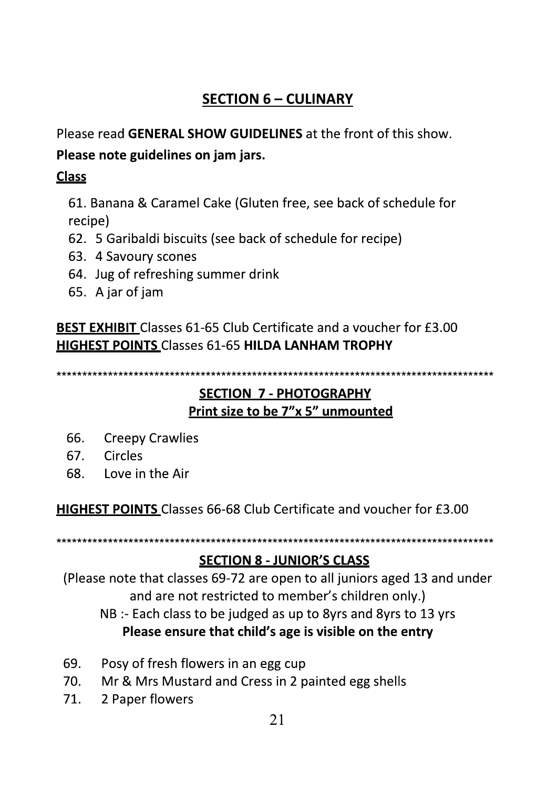### **SECTION 6 - CULINARY**

Please read GENERAL SHOW GUIDELINES at the front of this show.

Please note guidelines on jam jars.

### **Class**

61. Banana & Caramel Cake (Gluten free, see back of schedule for recipe)

- 62. 5 Garibaldi biscuits (see back of schedule for recipe)
- 63. 4 Savoury scones
- 64. Jug of refreshing summer drink
- 65. A jar of jam

**BEST EXHIBIT** Classes 61-65 Club Certificate and a voucher for £3.00 **HIGHEST POINTS Classes 61-65 HILDA LANHAM TROPHY** 

\*\*\*\*\*\*\*\*\*\*\*\*\*\*\*\*\* 

### **SECTION 7 - PHOTOGRAPHY** Print size to be 7"x 5" unmounted

- **Creepy Crawlies** 66.
- Circles 67.
- 68. Love in the Air

HIGHEST POINTS Classes 66-68 Club Certificate and voucher for £3.00

\*\*\*\*\*\*\*\*\*\*\*\*\*\*\*\*\*\*\*\*\*\*\*\*\*\*

### **SECTION 8 - JUNIOR'S CLASS**

(Please note that classes 69-72 are open to all juniors aged 13 and under and are not restricted to member's children only.) NB :- Each class to be judged as up to 8yrs and 8yrs to 13 yrs Please ensure that child's age is visible on the entry

- 69. Posy of fresh flowers in an egg cup
- 70. Mr & Mrs Mustard and Cress in 2 painted egg shells
- 71. 2 Paper flowers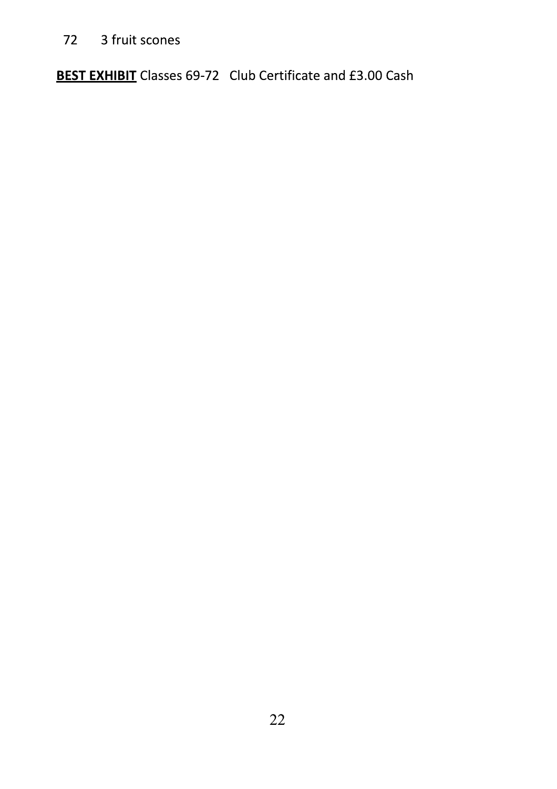72 3 fruit scones

**BEST EXHIBIT** Classes 69-72 Club Certificate and £3.00 Cash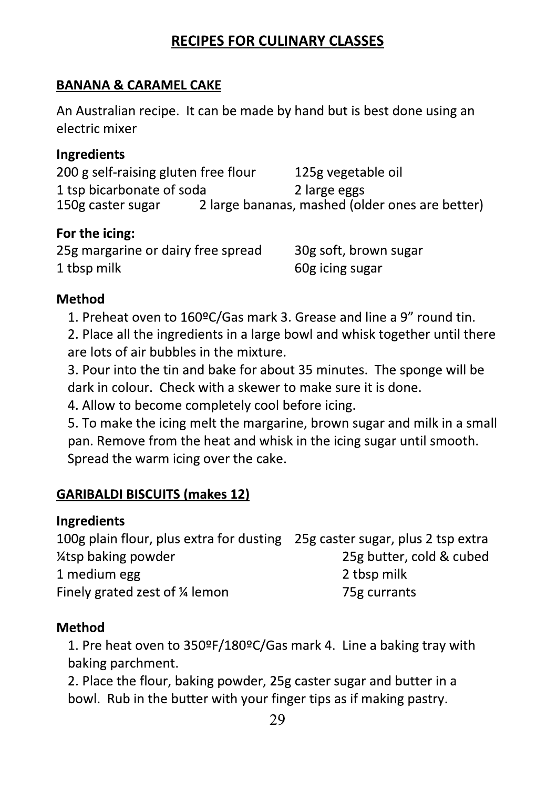### **RECIPES FOR CULINARY CLASSES**

### **BANANA & CARAMEL CAKE**

An Australian recipe. It can be made by hand but is best done using an electric mixer

#### **Ingredients**

200 g self-raising gluten free flour 125g vegetable oil 1 tsp bicarbonate of soda 2 large eggs 2 large bananas, mashed (older ones are better) 150g caster sugar

#### For the icing:

| 25g margarine or dairy free spread | 30g soft, brown sugar |
|------------------------------------|-----------------------|
| 1 tbsp milk                        | 60g icing sugar       |

#### **Method**

1. Preheat oven to 160ºC/Gas mark 3. Grease and line a 9" round tin. 2. Place all the ingredients in a large bowl and whisk together until there are lots of air bubbles in the mixture.

3. Pour into the tin and bake for about 35 minutes. The sponge will be dark in colour. Check with a skewer to make sure it is done.

4. Allow to become completely cool before icing.

5. To make the icing melt the margarine, brown sugar and milk in a small pan. Remove from the heat and whisk in the icing sugar until smooth. Spread the warm icing over the cake.

### **GARIBALDI BISCUITS (makes 12)**

### **Ingredients**

100g plain flour, plus extra for dusting 25g caster sugar, plus 2 tsp extra 25g butter, cold & cubed *l*<sub>4</sub>tsp baking powder 2 tbsp milk 1 medium egg Finely grated zest of 1/4 lemon 75g currants

### **Method**

1. Pre heat oven to 350ºF/180ºC/Gas mark 4. Line a baking tray with baking parchment.

2. Place the flour, baking powder, 25g caster sugar and butter in a bowl. Rub in the butter with your finger tips as if making pastry.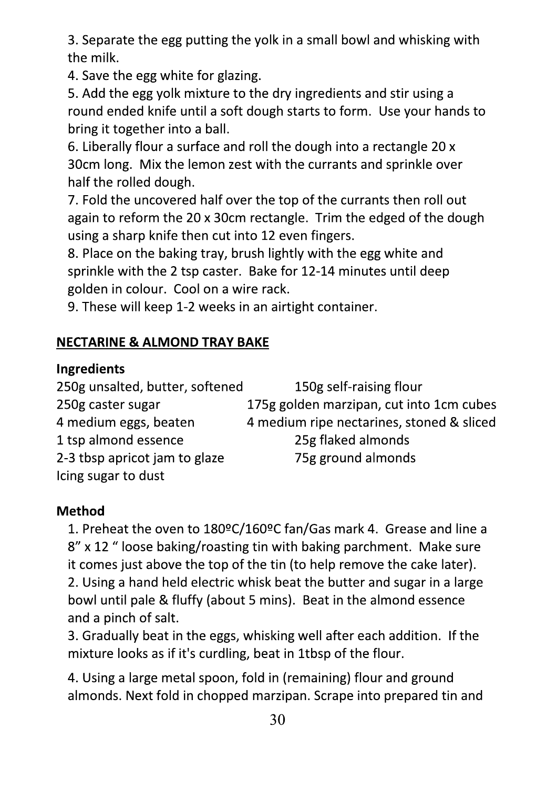3. Separate the egg putting the yolk in a small bowl and whisking with the milk.

4. Save the egg white for glazing.

5. Add the egg yolk mixture to the dry ingredients and stir using a round ended knife until a soft dough starts to form. Use your hands to bring it together into a ball.

6. Liberally flour a surface and roll the dough into a rectangle 20 x 30cm long. Mix the lemon zest with the currants and sprinkle over half the rolled dough.

7. Fold the uncovered half over the top of the currants then roll out again to reform the 20 x 30cm rectangle. Trim the edged of the dough using a sharp knife then cut into 12 even fingers.

8. Place on the baking tray, brush lightly with the egg white and sprinkle with the 2 tsp caster. Bake for 12-14 minutes until deep golden in colour. Cool on a wire rack.

9. These will keep 1-2 weeks in an airtight container.

### **NECTARINE & ALMOND TRAY BAKE**

### **Ingredients**

250g unsalted, butter, softened 150g self-raising flour 250g caster sugar 175g golden marzipan, cut into 1cm cubes 4 medium eggs, beaten 4 medium ripe nectarines, stoned & sliced 1 tsp almond essence 25g flaked almonds 75g ground almonds 2-3 tbsp apricot jam to glaze Icing sugar to dust

### **Method**

1. Preheat the oven to 180ºC/160ºC fan/Gas mark 4. Grease and line a 8" x 12 " loose baking/roasting tin with baking parchment. Make sure it comes just above the top of the tin (to help remove the cake later). 2. Using a hand held electric whisk beat the butter and sugar in a large bowl until pale & fluffy (about 5 mins). Beat in the almond essence and a pinch of salt.

3. Gradually beat in the eggs, whisking well after each addition. If the mixture looks as if it's curdling, beat in 1tbsp of the flour.

4. Using a large metal spoon, fold in (remaining) flour and ground almonds. Next fold in chopped marzipan. Scrape into prepared tin and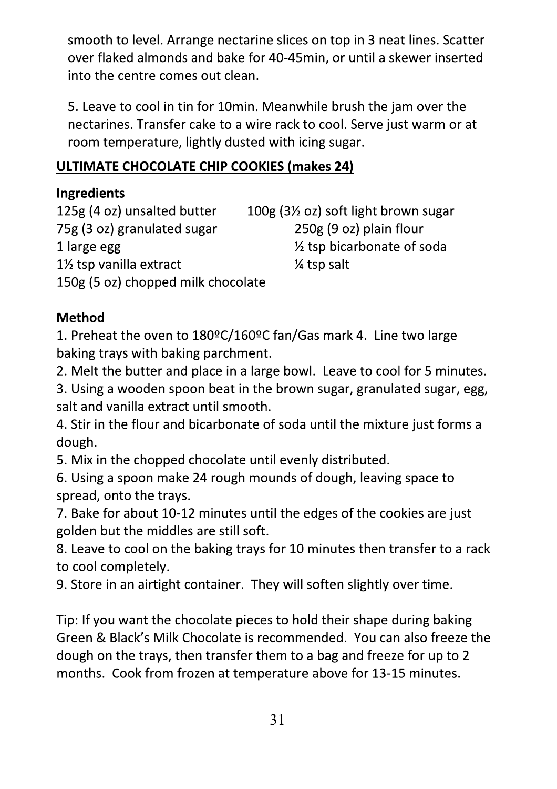smooth to level. Arrange nectarine slices on top in 3 neat lines. Scatter over flaked almonds and bake for 40-45min, or until a skewer inserted into the centre comes out clean.

5. Leave to cool in tin for 10 min. Meanwhile brush the jam over the nectarines. Transfer cake to a wire rack to cool. Serve just warm or at room temperature, lightly dusted with icing sugar.

### ULTIMATE CHOCOLATE CHIP COOKIES (makes 24)

### **Ingredients**

125g (4 oz) unsalted butter 100g (3<sup>1</sup>/<sub>2</sub> oz) soft light brown sugar 75g (3 oz) granulated sugar 250g (9 oz) plain flour 1/2 tsp bicarbonate of soda 1 large egg 1½ tsp vanilla extract  $\frac{1}{4}$  tsp salt 150g (5 oz) chopped milk chocolate

### **Method**

1. Preheat the oven to 180ºC/160ºC fan/Gas mark 4. Line two large baking trays with baking parchment.

2. Melt the butter and place in a large bowl. Leave to cool for 5 minutes.

3. Using a wooden spoon beat in the brown sugar, granulated sugar, egg, salt and vanilla extract until smooth.

4. Stir in the flour and bicarbonate of soda until the mixture just forms a dough.

5. Mix in the chopped chocolate until evenly distributed.

6. Using a spoon make 24 rough mounds of dough, leaving space to spread, onto the trays.

7. Bake for about 10-12 minutes until the edges of the cookies are just golden but the middles are still soft.

8. Leave to cool on the baking trays for 10 minutes then transfer to a rack to cool completely.

9. Store in an airtight container. They will soften slightly over time.

Tip: If you want the chocolate pieces to hold their shape during baking Green & Black's Milk Chocolate is recommended. You can also freeze the dough on the trays, then transfer them to a bag and freeze for up to 2 months. Cook from frozen at temperature above for 13-15 minutes.